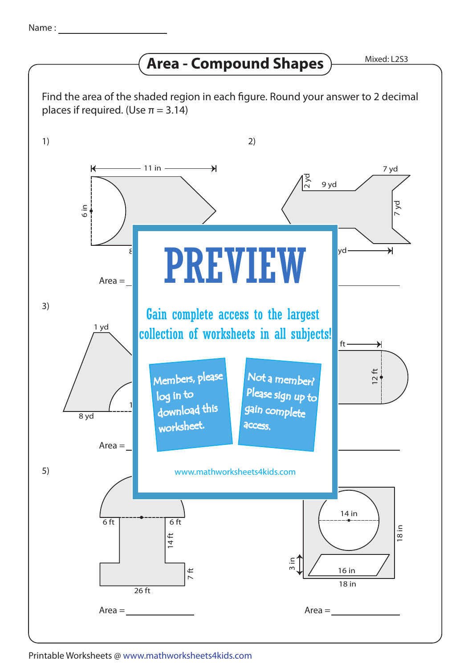## **Area - Compound Shapes**

Mixed: L2S3



Printable Worksheets @ www.mathworksheets4kids.com